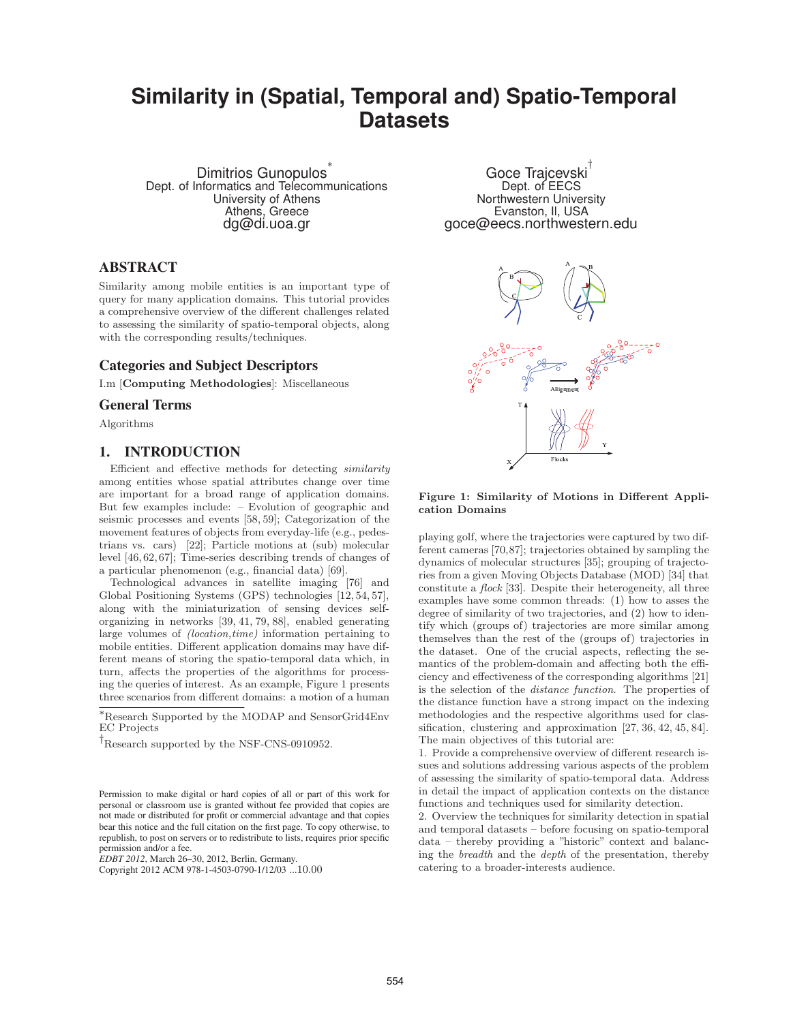## **Similarity in (Spatial, Temporal and) Spatio-Temporal Datasets**

Dimitrios Gunopulos<sup>∗</sup> Dept. of Informatics and Telecommunications University of Athens Athens, Greece dg@di.uoa.gr

## **ABSTRACT**

Similarity among mobile entities is an important type of query for many application domains. This tutorial provides a comprehensive overview of the different challenges related to assessing the similarity of spatio-temporal objects, along with the corresponding results/techniques.

## **Categories and Subject Descriptors**

I.m [**Computing Methodologies**]: Miscellaneous

#### **General Terms**

Algorithms

#### **1. INTRODUCTION**

Efficient and effective methods for detecting similarity among entities whose spatial attributes change over time are important for a broad range of application domains. But few examples include: – Evolution of geographic and seismic processes and events [58, 59]; Categorization of the movement features of objects from everyday-life (e.g., pedestrians vs. cars) [22]; Particle motions at (sub) molecular level [46, 62, 67]; Time-series describing trends of changes of a particular phenomenon (e.g., financial data) [69].

Technological advances in satellite imaging [76] and Global Positioning Systems (GPS) technologies [12, 54, 57], along with the miniaturization of sensing devices selforganizing in networks [39, 41, 79, 88], enabled generating large volumes of (location,time) information pertaining to mobile entities. Different application domains may have different means of storing the spatio-temporal data which, in turn, affects the properties of the algorithms for processing the queries of interest. As an example, Figure 1 presents three scenarios from different domains: a motion of a human

*EDBT 2012*, March 26–30, 2012, Berlin, Germany.

Goce Trajcevski† Dept. of EECS Northwestern University Evanston, Il, USA goce@eecs.northwestern.edu



#### **Figure 1: Similarity of Motions in Different Application Domains**

playing golf, where the trajectories were captured by two different cameras [70,87]; trajectories obtained by sampling the dynamics of molecular structures [35]; grouping of trajectories from a given Moving Objects Database (MOD) [34] that constitute a flock [33]. Despite their heterogeneity, all three examples have some common threads: (1) how to asses the degree of similarity of two trajectories, and (2) how to identify which (groups of) trajectories are more similar among themselves than the rest of the (groups of) trajectories in the dataset. One of the crucial aspects, reflecting the semantics of the problem-domain and affecting both the efficiency and effectiveness of the corresponding algorithms [21] is the selection of the distance function. The properties of the distance function have a strong impact on the indexing methodologies and the respective algorithms used for classification, clustering and approximation [27, 36, 42, 45, 84]. The main objectives of this tutorial are:

1. Provide a comprehensive overview of different research issues and solutions addressing various aspects of the problem of assessing the similarity of spatio-temporal data. Address in detail the impact of application contexts on the distance functions and techniques used for similarity detection.

2. Overview the techniques for similarity detection in spatial and temporal datasets – before focusing on spatio-temporal data – thereby providing a "historic" context and balancing the breadth and the depth of the presentation, thereby catering to a broader-interests audience.

<sup>∗</sup>Research Supported by the MODAP and SensorGrid4Env EC Projects

<sup>&</sup>lt;sup>†</sup>Research supported by the NSF-CNS-0910952.

Permission to make digital or hard copies of all or part of this work for personal or classroom use is granted without fee provided that copies are not made or distributed for profit or commercial advantage and that copies bear this notice and the full citation on the first page. To copy otherwise, to republish, to post on servers or to redistribute to lists, requires prior specific permission and/or a fee.

Copyright 2012 ACM 978-1-4503-0790-1/12/03 ...10.00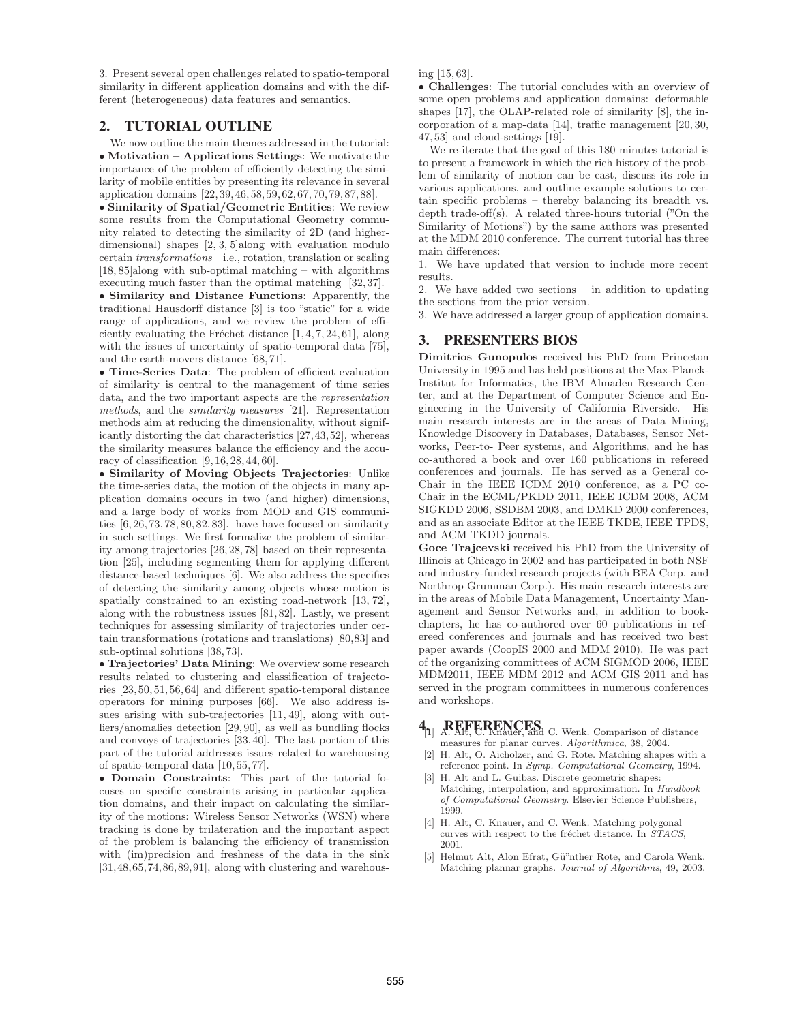3. Present several open challenges related to spatio-temporal similarity in different application domains and with the different (heterogeneous) data features and semantics.

## **2. TUTORIAL OUTLINE**

We now outline the main themes addressed in the tutorial: • **Motivation – Applications Settings**: We motivate the importance of the problem of efficiently detecting the similarity of mobile entities by presenting its relevance in several application domains [22, 39, 46, 58, 59, 62, 67, 70, 79, 87, 88].

• **Similarity of Spatial/Geometric Entities**: We review some results from the Computational Geometry community related to detecting the similarity of 2D (and higherdimensional) shapes [2, 3, 5]along with evaluation modulo certain transformations – i.e., rotation, translation or scaling [18, 85]along with sub-optimal matching – with algorithms executing much faster than the optimal matching [32, 37].

• **Similarity and Distance Functions**: Apparently, the traditional Hausdorff distance [3] is too "static" for a wide range of applications, and we review the problem of efficiently evaluating the Fréchet distance  $[1, 4, 7, 24, 61]$ , along with the issues of uncertainty of spatio-temporal data [75], and the earth-movers distance [68, 71].

• **Time-Series Data**: The problem of efficient evaluation of similarity is central to the management of time series data, and the two important aspects are the representation methods, and the similarity measures [21]. Representation methods aim at reducing the dimensionality, without significantly distorting the dat characteristics [27,43,52], whereas the similarity measures balance the efficiency and the accuracy of classification [9, 16, 28, 44, 60].

• **Similarity of Moving Objects Trajectories**: Unlike the time-series data, the motion of the objects in many application domains occurs in two (and higher) dimensions, and a large body of works from MOD and GIS communities  $[6, 26, 73, 78, 80, 82, 83]$ . have have focused on similarity in such settings. We first formalize the problem of similarity among trajectories [26, 28, 78] based on their representation [25], including segmenting them for applying different distance-based techniques [6]. We also address the specifics of detecting the similarity among objects whose motion is spatially constrained to an existing road-network [13, 72], along with the robustness issues [81, 82]. Lastly, we present techniques for assessing similarity of trajectories under certain transformations (rotations and translations) [80,83] and sub-optimal solutions [38, 73].

• **Trajectories' Data Mining**: We overview some research results related to clustering and classification of trajectories [23, 50, 51, 56, 64] and different spatio-temporal distance operators for mining purposes [66]. We also address issues arising with sub-trajectories [11, 49], along with outliers/anomalies detection [29, 90], as well as bundling flocks and convoys of trajectories [33, 40]. The last portion of this part of the tutorial addresses issues related to warehousing of spatio-temporal data [10, 55, 77].

• **Domain Constraints**: This part of the tutorial focuses on specific constraints arising in particular application domains, and their impact on calculating the similarity of the motions: Wireless Sensor Networks (WSN) where tracking is done by trilateration and the important aspect of the problem is balancing the efficiency of transmission with (im)precision and freshness of the data in the sink  $[31,48,65,74,86,89,91]$ , along with clustering and warehousing [15, 63].

• **Challenges**: The tutorial concludes with an overview of some open problems and application domains: deformable shapes [17], the OLAP-related role of similarity [8], the incorporation of a map-data [14], traffic management [20, 30, 47, 53] and cloud-settings [19].

We re-iterate that the goal of this 180 minutes tutorial is to present a framework in which the rich history of the problem of similarity of motion can be cast, discuss its role in various applications, and outline example solutions to certain specific problems – thereby balancing its breadth vs. depth trade-off(s). A related three-hours tutorial ("On the Similarity of Motions") by the same authors was presented at the MDM 2010 conference. The current tutorial has three main differences:

1. We have updated that version to include more recent results.

2. We have added two sections – in addition to updating the sections from the prior version.

3. We have addressed a larger group of application domains.

## **3. PRESENTERS BIOS**

**Dimitrios Gunopulos** received his PhD from Princeton University in 1995 and has held positions at the Max-Planck-Institut for Informatics, the IBM Almaden Research Center, and at the Department of Computer Science and Engineering in the University of California Riverside. His main research interests are in the areas of Data Mining, Knowledge Discovery in Databases, Databases, Sensor Networks, Peer-to- Peer systems, and Algorithms, and he has co-authored a book and over 160 publications in refereed conferences and journals. He has served as a General co-Chair in the IEEE ICDM 2010 conference, as a PC co-Chair in the ECML/PKDD 2011, IEEE ICDM 2008, ACM SIGKDD 2006, SSDBM 2003, and DMKD 2000 conferences, and as an associate Editor at the IEEE TKDE, IEEE TPDS, and ACM TKDD journals.

**Goce Trajcevski** received his PhD from the University of Illinois at Chicago in 2002 and has participated in both NSF and industry-funded research projects (with BEA Corp. and Northrop Grumman Corp.). His main research interests are in the areas of Mobile Data Management, Uncertainty Management and Sensor Networks and, in addition to bookchapters, he has co-authored over 60 publications in refereed conferences and journals and has received two best paper awards (CoopIS 2000 and MDM 2010). He was part of the organizing committees of ACM SIGMOD 2006, IEEE MDM2011, IEEE MDM 2012 and ACM GIS 2011 and has served in the program committees in numerous conferences and workshops.

# **4.1 REFERENCES** [1] A. Alt, C. Knauer, and C. Wenk. Comparison of distance

- measures for planar curves. Algorithmica, 38, 2004. [2] H. Alt, O. Aicholzer, and G. Rote. Matching shapes with a
- reference point. In Symp. Computational Geometry, 1994.
- [3] H. Alt and L. Guibas. Discrete geometric shapes: Matching, interpolation, and approximation. In Handbook of Computational Geometry. Elsevier Science Publishers, 1999.
- [4] H. Alt, C. Knauer, and C. Wenk. Matching polygonal curves with respect to the fréchet distance. In  $STACS$ , 2001.
- [5] Helmut Alt, Alon Efrat, Gü"nther Rote, and Carola Wenk. Matching plannar graphs. Journal of Algorithms, 49, 2003.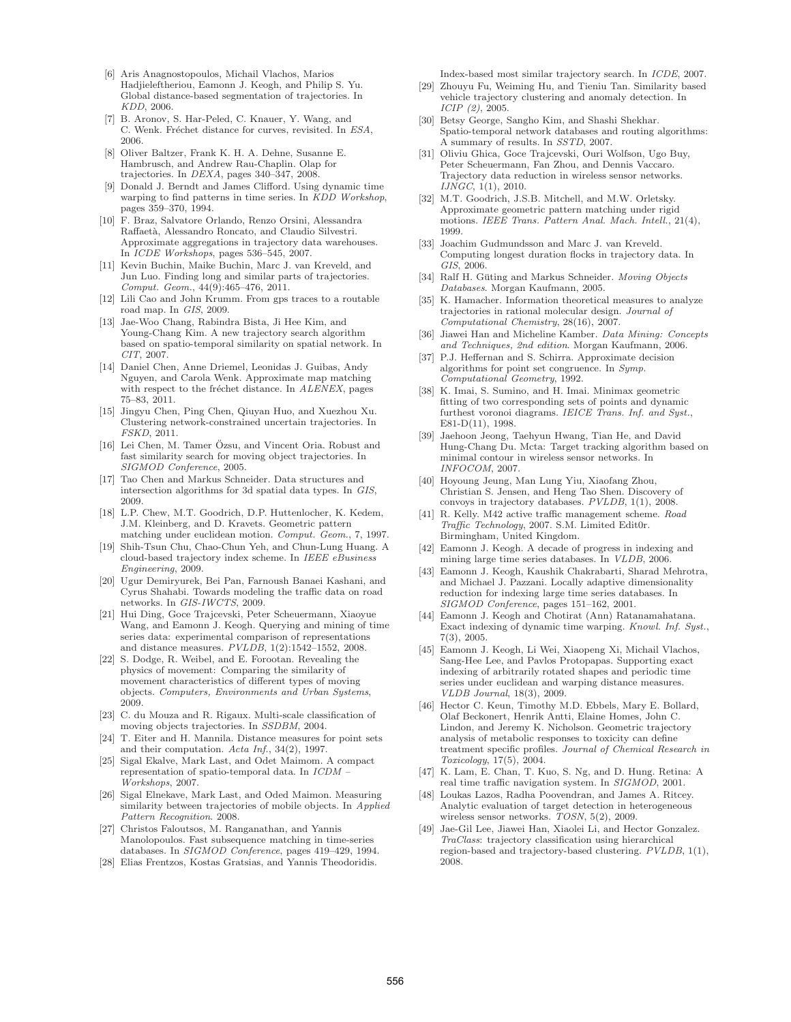- [6] Aris Anagnostopoulos, Michail Vlachos, Marios Hadjieleftheriou, Eamonn J. Keogh, and Philip S. Yu. Global distance-based segmentation of trajectories. In KDD, 2006.
- [7] B. Aronov, S. Har-Peled, C. Knauer, Y. Wang, and C. Wenk. Fréchet distance for curves, revisited. In ESA, 2006.
- [8] Oliver Baltzer, Frank K. H. A. Dehne, Susanne E. Hambrusch, and Andrew Rau-Chaplin. Olap for trajectories. In DEXA, pages 340–347, 2008.
- Donald J. Berndt and James Clifford. Using dynamic time warping to find patterns in time series. In KDD Workshop, pages 359–370, 1994.
- [10] F. Braz, Salvatore Orlando, Renzo Orsini, Alessandra Raffaet`a, Alessandro Roncato, and Claudio Silvestri. Approximate aggregations in trajectory data warehouses. In ICDE Workshops, pages 536–545, 2007.
- [11] Kevin Buchin, Maike Buchin, Marc J. van Kreveld, and Jun Luo. Finding long and similar parts of trajectories. Comput. Geom., 44(9):465–476, 2011.
- [12] Lili Cao and John Krumm. From gps traces to a routable road map. In GIS, 2009.
- [13] Jae-Woo Chang, Rabindra Bista, Ji Hee Kim, and Young-Chang Kim. A new trajectory search algorithm based on spatio-temporal similarity on spatial network. In CIT, 2007.
- [14] Daniel Chen, Anne Driemel, Leonidas J. Guibas, Andy Nguyen, and Carola Wenk. Approximate map matching with respect to the fréchet distance. In ALENEX, pages 75–83, 2011.
- [15] Jingyu Chen, Ping Chen, Qiuyan Huo, and Xuezhou Xu. Clustering network-constrained uncertain trajectories. In FSKD, 2011.
- [16] Lei Chen, M. Tamer Özsu, and Vincent Oria. Robust and fast similarity search for moving object trajectories. In SIGMOD Conference, 2005.
- [17] Tao Chen and Markus Schneider. Data structures and intersection algorithms for 3d spatial data types. In GIS, 2009.
- [18] L.P. Chew, M.T. Goodrich, D.P. Huttenlocher, K. Kedem, J.M. Kleinberg, and D. Kravets. Geometric pattern matching under euclidean motion. Comput. Geom., 7, 1997.
- [19] Shih-Tsun Chu, Chao-Chun Yeh, and Chun-Lung Huang. A cloud-based trajectory index scheme. In IEEE eBusiness Engineering, 2009.
- [20] Ugur Demiryurek, Bei Pan, Farnoush Banaei Kashani, and Cyrus Shahabi. Towards modeling the traffic data on road networks. In GIS-IWCTS, 2009.
- [21] Hui Ding, Goce Trajcevski, Peter Scheuermann, Xiaoyue Wang, and Eamonn J. Keogh. Querying and mining of time series data: experimental comparison of representations and distance measures. PVLDB, 1(2):1542–1552, 2008.
- [22] S. Dodge, R. Weibel, and E. Forootan. Revealing the physics of movement: Comparing the similarity of movement characteristics of different types of moving objects. Computers, Environments and Urban Systems, 2009.
- [23] C. du Mouza and R. Rigaux. Multi-scale classification of moving objects trajectories. In SSDBM, 2004.
- [24] T. Eiter and H. Mannila. Distance measures for point sets and their computation. Acta Inf., 34(2), 1997.
- [25] Sigal Ekalve, Mark Last, and Odet Maimom. A compact representation of spatio-temporal data. In ICDM – Workshops, 2007.
- [26] Sigal Elnekave, Mark Last, and Oded Maimon. Measuring similarity between trajectories of mobile objects. In Applied Pattern Recognition. 2008.
- [27] Christos Faloutsos, M. Ranganathan, and Yannis Manolopoulos. Fast subsequence matching in time-series databases. In SIGMOD Conference, pages 419–429, 1994.
- [28] Elias Frentzos, Kostas Gratsias, and Yannis Theodoridis.

Index-based most similar trajectory search. In ICDE, 2007.

- [29] Zhouyu Fu, Weiming Hu, and Tieniu Tan. Similarity based vehicle trajectory clustering and anomaly detection. In ICIP (2), 2005.
- [30] Betsy George, Sangho Kim, and Shashi Shekhar. Spatio-temporal network databases and routing algorithms: A summary of results. In SSTD, 2007.
- [31] Oliviu Ghica, Goce Trajcevski, Ouri Wolfson, Ugo Buy, Peter Scheuermann, Fan Zhou, and Dennis Vaccaro. Trajectory data reduction in wireless sensor networks. IJNGC, 1(1), 2010.
- [32] M.T. Goodrich, J.S.B. Mitchell, and M.W. Orletsky. Approximate geometric pattern matching under rigid motions. IEEE Trans. Pattern Anal. Mach. Intell., 21(4), 1999.
- [33] Joachim Gudmundsson and Marc J. van Kreveld. Computing longest duration flocks in trajectory data. In GIS, 2006
- [34] Ralf H. Güting and Markus Schneider. Moving Objects Databases. Morgan Kaufmann, 2005.
- [35] K. Hamacher. Information theoretical measures to analyze trajectories in rational molecular design. Journal of Computational Chemistry, 28(16), 2007.
- [36] Jiawei Han and Micheline Kamber. Data Mining: Concepts and Techniques, 2nd edition. Morgan Kaufmann, 2006.
- [37] P.J. Heffernan and S. Schirra. Approximate decision algorithms for point set congruence. In Symp. Computational Geometry, 1992.
- [38] K. Imai, S. Sumino, and H. Imai. Minimax geometric fitting of two corresponding sets of points and dynamic furthest voronoi diagrams. IEICE Trans. Inf. and Syst., E81-D(11), 1998.
- [39] Jaehoon Jeong, Taehyun Hwang, Tian He, and David Hung-Chang Du. Mcta: Target tracking algorithm based on minimal contour in wireless sensor networks. In INFOCOM, 2007.
- [40] Hoyoung Jeung, Man Lung Yiu, Xiaofang Zhou, Christian S. Jensen, and Heng Tao Shen. Discovery of convoys in trajectory databases. PVLDB, 1(1), 2008.
- [41] R. Kelly. M42 active traffic management scheme. Road Traffic Technology, 2007. S.M. Limited Edit0r. Birmingham, United Kingdom.
- [42] Eamonn J. Keogh. A decade of progress in indexing and mining large time series databases. In VLDB, 2006.
- [43] Eamonn J. Keogh, Kaushik Chakrabarti, Sharad Mehrotra, and Michael J. Pazzani. Locally adaptive dimensionality reduction for indexing large time series databases. In SIGMOD Conference, pages 151–162, 2001.
- [44] Eamonn J. Keogh and Chotirat (Ann) Ratanamahatana. Exact indexing of dynamic time warping. Knowl. Inf. Syst., 7(3), 2005.
- [45] Eamonn J. Keogh, Li Wei, Xiaopeng Xi, Michail Vlachos, Sang-Hee Lee, and Pavlos Protopapas. Supporting exact indexing of arbitrarily rotated shapes and periodic time series under euclidean and warping distance measures. VLDB Journal, 18(3), 2009.
- [46] Hector C. Keun, Timothy M.D. Ebbels, Mary E. Bollard, Olaf Beckonert, Henrik Antti, Elaine Homes, John C. Lindon, and Jeremy K. Nicholson. Geometric trajectory analysis of metabolic responses to toxicity can define treatment specific profiles. Journal of Chemical Research in Toxicology, 17(5), 2004.
- [47] K. Lam, E. Chan, T. Kuo, S. Ng, and D. Hung. Retina: A real time traffic navigation system. In SIGMOD, 2001.
- [48] Loukas Lazos, Radha Poovendran, and James A. Ritcey. Analytic evaluation of target detection in heterogeneous wireless sensor networks. TOSN, 5(2), 2009.
- [49] Jae-Gil Lee, Jiawei Han, Xiaolei Li, and Hector Gonzalez. TraClass: trajectory classification using hierarchical region-based and trajectory-based clustering. PVLDB, 1(1), 2008.